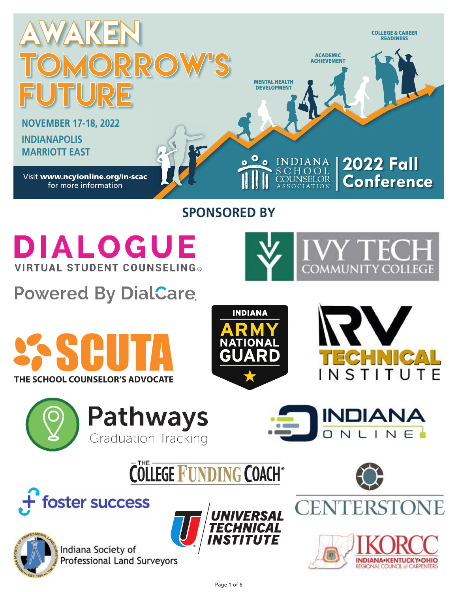

# **SPONSORED BY**



**Powered By DialCare** 







**INDIANA** 

NLINE

**COMMUNITY COLLEGE** 









Indiana Society of **Professional Land Surveyors** 





**INDIANA-KENTUCKY-OHIO** REGIONAL COUNCIL of CARPENTERS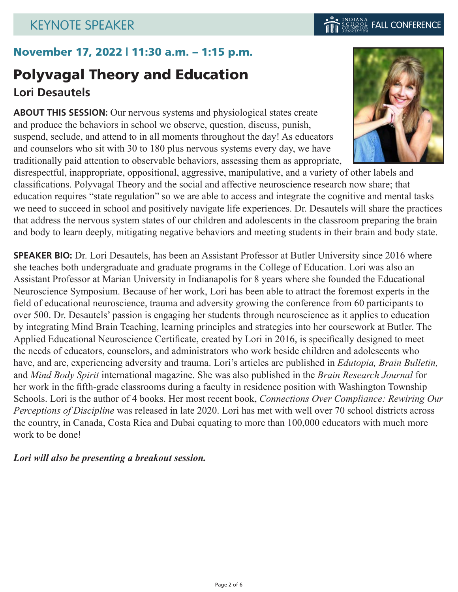## November 17, 2022 | 11:30 a.m. – 1:15 p.m.

# Polyvagal Theory and Education **Lori Desautels**

**ABOUT THIS SESSION:** Our nervous systems and physiological states create and produce the behaviors in school we observe, question, discuss, punish, suspend, seclude, and attend to in all moments throughout the day! As educators and counselors who sit with 30 to 180 plus nervous systems every day, we have traditionally paid attention to observable behaviors, assessing them as appropriate,

disrespectful, inappropriate, oppositional, aggressive, manipulative, and a variety of other labels and classifications. Polyvagal Theory and the social and affective neuroscience research now share; that education requires "state regulation" so we are able to access and integrate the cognitive and mental tasks we need to succeed in school and positively navigate life experiences. Dr. Desautels will share the practices that address the nervous system states of our children and adolescents in the classroom preparing the brain and body to learn deeply, mitigating negative behaviors and meeting students in their brain and body state.

**SPEAKER BIO:** Dr. Lori Desautels, has been an Assistant Professor at Butler University since 2016 where she teaches both undergraduate and graduate programs in the College of Education. Lori was also an Assistant Professor at Marian University in Indianapolis for 8 years where she founded the Educational Neuroscience Symposium. Because of her work, Lori has been able to attract the foremost experts in the field of educational neuroscience, trauma and adversity growing the conference from 60 participants to over 500. Dr. Desautels' passion is engaging her students through neuroscience as it applies to education by integrating Mind Brain Teaching, learning principles and strategies into her coursework at Butler. The Applied Educational Neuroscience Certificate, created by Lori in 2016, is specifically designed to meet the needs of educators, counselors, and administrators who work beside children and adolescents who have, and are, experiencing adversity and trauma. Lori's articles are published in *Edutopia, Brain Bulletin,* and *Mind Body Spirit* international magazine. She was also published in the *Brain Research Journal* for her work in the fifth-grade classrooms during a faculty in residence position with Washington Township Schools. Lori is the author of 4 books. Her most recent book, *Connections Over Compliance: Rewiring Our Perceptions of Discipline* was released in late 2020. Lori has met with well over 70 school districts across the country, in Canada, Costa Rica and Dubai equating to more than 100,000 educators with much more work to be done!

### *Lori will also be presenting a breakout session.*

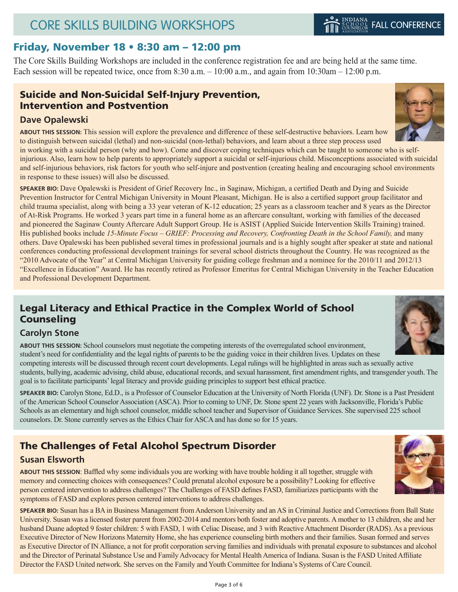### Friday, November 18 • 8:30 am – 12:00 pm

The Core Skills Building Workshops are included in the conference registration fee and are being held at the same time. Each session will be repeated twice, once from 8:30 a.m.  $-10:00$  a.m., and again from 10:30am – 12:00 p.m.

### Suicide and Non-Suicidal Self-Injury Prevention, Intervention and Postvention

#### **Dave Opalewski**

**ABOUT THIS SESSION:** This session will explore the prevalence and difference of these self-destructive behaviors. Learn how to distinguish between suicidal (lethal) and non-suicidal (non-lethal) behaviors, and learn about a three step process used

in working with a suicidal person (why and how). Come and discover coping techniques which can be taught to someone who is selfinjurious. Also, learn how to help parents to appropriately support a suicidal or self-injurious child. Misconceptions associated with suicidal and self-injurious behaviors, risk factors for youth who self-injure and postvention (creating healing and encouraging school environments in response to these issues) will also be discussed.

**SPEAKER BIO:** Dave Opalewski is President of Grief Recovery Inc., in Saginaw, Michigan, a certified Death and Dying and Suicide Prevention Instructor for Central Michigan University in Mount Pleasant, Michigan. He is also a certified support group facilitator and child trauma specialist, along with being a 33 year veteran of K-12 education; 25 years as a classroom teacher and 8 years as the Director of At-Risk Programs. He worked 3 years part time in a funeral home as an aftercare consultant, working with families of the deceased and pioneered the Saginaw County Aftercare Adult Support Group. He is ASIST (Applied Suicide Intervention Skills Training) trained. His published books include *15-Minute Focus – GRIEF: Processing and Recovery, Confronting Death in the School Family,* and many others. Dave Opalewski has been published several times in professional journals and is a highly sought after speaker at state and national conferences conducting professional development trainings for several school districts throughout the Country. He was recognized as the "2010 Advocate of the Year" at Central Michigan University for guiding college freshman and a nominee for the 2010/11 and 2012/13 "Excellence in Education" Award. He has recently retired as Professor Emeritus for Central Michigan University in the Teacher Education and Professional Development Department.

### Legal Literacy and Ethical Practice in the Complex World of School **Counseling**

#### **Carolyn Stone**

**ABOUT THIS SESSION:** School counselors must negotiate the competing interests of the overregulated school environment, student's need for confidentiality and the legal rights of parents to be the guiding voice in their children lives. Updates on these competing interests will be discussed through recent court developments. Legal rulings will be highlighted in areas such as sexually active students, bullying, academic advising, child abuse, educational records, and sexual harassment, first amendment rights, and transgender youth. The goal is to facilitate participants' legal literacy and provide guiding principles to support best ethical practice.

**SPEAKER BIO:** Carolyn Stone, Ed.D., is a Professor of Counselor Education at the University of North Florida (UNF). Dr. Stone is a Past President of the American School Counselor Association (ASCA). Prior to coming to UNF, Dr. Stone spent 22 years with Jacksonville, Florida's Public Schools as an elementary and high school counselor, middle school teacher and Supervisor of Guidance Services. She supervised 225 school counselors. Dr. Stone currently serves as the Ethics Chair for ASCA and has done so for 15 years.

## The Challenges of Fetal Alcohol Spectrum Disorder

#### **Susan Elsworth**

**ABOUT THIS SESSION**: Baffled why some individuals you are working with have trouble holding it all together, struggle with memory and connecting choices with consequences? Could prenatal alcohol exposure be a possibility? Looking for effective person centered intervention to address challenges? The Challenges of FASD defines FASD, familiarizes participants with the symptoms of FASD and explores person centered interventions to address challenges.

**SPEAKER BIO:** Susan has a BA in Business Management from Anderson University and an AS in Criminal Justice and Corrections from Ball State University. Susan was a licensed foster parent from 2002-2014 and mentors both foster and adoptive parents. A mother to 13 children, she and her husband Duane adopted 9 foster children: 5 with FASD, 1 with Celiac Disease, and 3 with Reactive Attachment Disorder (RADS). As a previous Executive Director of New Horizons Maternity Home, she has experience counseling birth mothers and their families. Susan formed and serves as Executive Director of IN Alliance, a not for profit corporation serving families and individuals with prenatal exposure to substances and alcohol and the Director of Perinatal Substance Use and Family Advocacy for Mental Health America of Indiana. Susan is the FASD United Affiliate Director the FASD United network. She serves on the Family and Youth Committee for Indiana's Systems of Care Council.



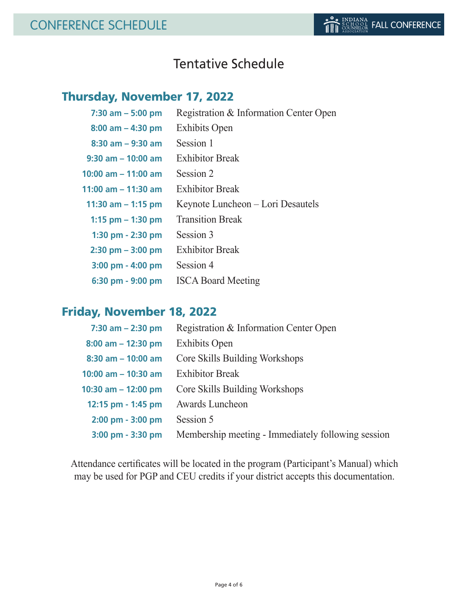## Tentative Schedule

## Thursday, November 17, 2022

| $7:30$ am $-5:00$ pm   | Registration & Information Center Open |
|------------------------|----------------------------------------|
| $8:00$ am $-$ 4:30 pm  | <b>Exhibits Open</b>                   |
| $8:30$ am $-9:30$ am   | Session 1                              |
| $9:30$ am $-10:00$ am  | <b>Exhibitor Break</b>                 |
| $10:00$ am $-11:00$ am | Session 2                              |
| 11:00 am $-$ 11:30 am  | <b>Exhibitor Break</b>                 |
| 11:30 am $-$ 1:15 pm   | Keynote Luncheon – Lori Desautels      |
| 1:15 $pm - 1:30$ pm    | <b>Transition Break</b>                |
| 1:30 pm $-$ 2:30 pm    | Session 3                              |
| $2:30$ pm $-3:00$ pm   | <b>Exhibitor Break</b>                 |
| $3:00$ pm $- 4:00$ pm  | Session 4                              |
| 6:30 pm - 9:00 pm      | <b>ISCA Board Meeting</b>              |

## Friday, November 18, 2022

| $7:30$ am $- 2:30$ pm  | Registration & Information Center Open             |
|------------------------|----------------------------------------------------|
| $8:00$ am $- 12:30$ pm | <b>Exhibits Open</b>                               |
| $8:30$ am $-10:00$ am  | Core Skills Building Workshops                     |
| 10:00 am $-$ 10:30 am  | <b>Exhibitor Break</b>                             |
| 10:30 am $-$ 12:00 pm  | Core Skills Building Workshops                     |
| 12:15 pm - 1:45 pm     | Awards Luncheon                                    |
| 2:00 pm - 3:00 pm      | Session 5                                          |
| 3:00 pm - 3:30 pm      | Membership meeting - Immediately following session |

Attendance certificates will be located in the program (Participant's Manual) which may be used for PGP and CEU credits if your district accepts this documentation.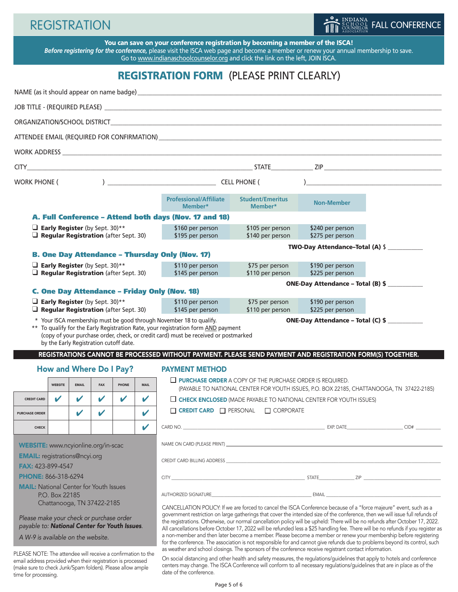# **REGISTRATION**



You can save on your conference registration by becoming a member of the ISCA! *Before registering for the conference,* please visit the ISCA web page and become a member or renew your annual membership to save. Go to www.indianaschoolcounselor.org and click the link on the left, JOIN ISCA.

## REGISTRATION FORM (PLEASE PRINT CLEARLY)

|                                                                                                                                                 |                                                                                                                             |              |                                      |                                      |                                      | NAME (as it should appear on name badge) example a state of the state of the state of the state of the state of the state of the state of the state of the state of the state of the state of the state of the state of the st                                                                                                                                                                     |                                                                        |                                                       |                                                                                                                           |  |  |
|-------------------------------------------------------------------------------------------------------------------------------------------------|-----------------------------------------------------------------------------------------------------------------------------|--------------|--------------------------------------|--------------------------------------|--------------------------------------|----------------------------------------------------------------------------------------------------------------------------------------------------------------------------------------------------------------------------------------------------------------------------------------------------------------------------------------------------------------------------------------------------|------------------------------------------------------------------------|-------------------------------------------------------|---------------------------------------------------------------------------------------------------------------------------|--|--|
|                                                                                                                                                 |                                                                                                                             |              |                                      |                                      |                                      |                                                                                                                                                                                                                                                                                                                                                                                                    |                                                                        |                                                       |                                                                                                                           |  |  |
|                                                                                                                                                 |                                                                                                                             |              |                                      |                                      |                                      |                                                                                                                                                                                                                                                                                                                                                                                                    |                                                                        |                                                       |                                                                                                                           |  |  |
|                                                                                                                                                 |                                                                                                                             |              |                                      |                                      |                                      |                                                                                                                                                                                                                                                                                                                                                                                                    |                                                                        |                                                       |                                                                                                                           |  |  |
|                                                                                                                                                 |                                                                                                                             |              |                                      |                                      |                                      |                                                                                                                                                                                                                                                                                                                                                                                                    |                                                                        |                                                       |                                                                                                                           |  |  |
|                                                                                                                                                 |                                                                                                                             |              |                                      |                                      |                                      |                                                                                                                                                                                                                                                                                                                                                                                                    |                                                                        |                                                       |                                                                                                                           |  |  |
| <b>WORK PHONE (</b>                                                                                                                             |                                                                                                                             |              | $\sum$ CELL PHONE (                  |                                      |                                      | ) and the contract of the contract of $\mathcal{L}$                                                                                                                                                                                                                                                                                                                                                |                                                                        |                                                       |                                                                                                                           |  |  |
|                                                                                                                                                 |                                                                                                                             |              |                                      |                                      |                                      | <b>Professional/Affiliate</b><br>Member*                                                                                                                                                                                                                                                                                                                                                           | <b>Student/Emeritus</b><br>Member*                                     | <b>Non-Member</b>                                     |                                                                                                                           |  |  |
|                                                                                                                                                 |                                                                                                                             |              |                                      |                                      |                                      | A. Full Conference - Attend both days (Nov. 17 and 18)                                                                                                                                                                                                                                                                                                                                             |                                                                        |                                                       |                                                                                                                           |  |  |
| <b>Early Register</b> (by Sept. 30)**<br>$\Box$ Regular Registration (after Sept. 30)                                                           |                                                                                                                             |              | \$160 per person<br>\$195 per person | \$105 per person<br>\$140 per person | \$240 per person<br>\$275 per person |                                                                                                                                                                                                                                                                                                                                                                                                    |                                                                        |                                                       |                                                                                                                           |  |  |
|                                                                                                                                                 |                                                                                                                             |              |                                      |                                      |                                      |                                                                                                                                                                                                                                                                                                                                                                                                    |                                                                        | TWO-Day Attendance-Total (A) \$                       |                                                                                                                           |  |  |
| <b>B. One Day Attendance - Thursday Only (Nov. 17)</b><br><b>Early Register</b> (by Sept. 30)**<br>$\Box$ Regular Registration (after Sept. 30) |                                                                                                                             |              |                                      |                                      |                                      | \$110 per person<br>\$145 per person                                                                                                                                                                                                                                                                                                                                                               | \$75 per person<br>\$110 per person                                    | \$190 per person<br>\$225 per person                  |                                                                                                                           |  |  |
|                                                                                                                                                 |                                                                                                                             |              |                                      |                                      |                                      | <b>C. One Day Attendance - Friday Only (Nov. 18)</b>                                                                                                                                                                                                                                                                                                                                               |                                                                        | ONE-Day Attendance - Total (B) \$                     |                                                                                                                           |  |  |
|                                                                                                                                                 | <b>Early Register</b> (by Sept. 30)**                                                                                       |              |                                      |                                      |                                      | \$110 per person                                                                                                                                                                                                                                                                                                                                                                                   | \$75 per person                                                        | \$190 per person                                      |                                                                                                                           |  |  |
|                                                                                                                                                 | $\Box$ Regular Registration (after Sept. 30)                                                                                |              |                                      |                                      |                                      | \$145 per person<br>* Your ISCA membership must be good through November 18 to qualify.                                                                                                                                                                                                                                                                                                            | \$110 per person                                                       | \$225 per person<br>ONE-Day Attendance - Total (C) \$ |                                                                                                                           |  |  |
|                                                                                                                                                 | by the Early Registration cutoff date.                                                                                      |              |                                      |                                      |                                      | ** To qualify for the Early Registration Rate, your registration form AND payment<br>(copy of your purchase order, check, or credit card) must be received or postmarked<br>REGISTRATIONS CANNOT BE PROCESSED WITHOUT PAYMENT. PLEASE SEND PAYMENT AND REGISTRATION FORM(S) TOGETHER.                                                                                                              |                                                                        |                                                       |                                                                                                                           |  |  |
|                                                                                                                                                 | <b>How and Where Do I Pay?</b>                                                                                              |              |                                      |                                      |                                      | <b>PAYMENT METHOD</b>                                                                                                                                                                                                                                                                                                                                                                              |                                                                        |                                                       |                                                                                                                           |  |  |
|                                                                                                                                                 | <b>WEBSITE</b>                                                                                                              | <b>EMAIL</b> | <b>FAX</b>                           | PHONE                                | <b>MAIL</b>                          |                                                                                                                                                                                                                                                                                                                                                                                                    | $\Box$ <b>PURCHASE ORDER</b> A COPY OF THE PURCHASE ORDER IS REQUIRED. |                                                       | (PAYABLE TO NATIONAL CENTER FOR YOUTH ISSUES, P.O. BOX 22185, CHATTANOOGA, TN 37422-2185)                                 |  |  |
| <b>CREDIT CARD</b>                                                                                                                              | V                                                                                                                           |              | $\boldsymbol{\nu}$                   |                                      |                                      | $\Box$ CHECK ENCLOSED (MADE PAYABLE TO NATIONAL CENTER FOR YOUTH ISSUES)                                                                                                                                                                                                                                                                                                                           |                                                                        |                                                       |                                                                                                                           |  |  |
| <b>PURCHASE ORDER</b>                                                                                                                           |                                                                                                                             |              |                                      |                                      | $\mathbf{v}$                         | $\Box$ Credit Card $\Box$ Personal $\Box$ Corporate                                                                                                                                                                                                                                                                                                                                                |                                                                        |                                                       |                                                                                                                           |  |  |
|                                                                                                                                                 | <b>CHECK</b>                                                                                                                |              |                                      |                                      |                                      |                                                                                                                                                                                                                                                                                                                                                                                                    |                                                                        |                                                       |                                                                                                                           |  |  |
|                                                                                                                                                 | WEBSITE: www.ncyionline.org/in-scac                                                                                         |              |                                      |                                      |                                      |                                                                                                                                                                                                                                                                                                                                                                                                    |                                                                        |                                                       |                                                                                                                           |  |  |
| <b>EMAIL:</b> registrations@ncyi.org                                                                                                            |                                                                                                                             |              |                                      |                                      |                                      |                                                                                                                                                                                                                                                                                                                                                                                                    |                                                                        |                                                       |                                                                                                                           |  |  |
| <b>FAX: 423-899-4547</b>                                                                                                                        |                                                                                                                             |              |                                      |                                      |                                      |                                                                                                                                                                                                                                                                                                                                                                                                    |                                                                        |                                                       |                                                                                                                           |  |  |
| <b>PHONE: 866-318-6294</b><br><b>MAIL:</b> National Center for Youth Issues                                                                     |                                                                                                                             |              |                                      |                                      |                                      |                                                                                                                                                                                                                                                                                                                                                                                                    |                                                                        |                                                       |                                                                                                                           |  |  |
| P.O. Box 22185                                                                                                                                  |                                                                                                                             |              |                                      |                                      |                                      |                                                                                                                                                                                                                                                                                                                                                                                                    |                                                                        |                                                       | AUTHORIZED SIGNATURE <b>AUTHORIZED SIGNATURE</b>                                                                          |  |  |
|                                                                                                                                                 | Chattanooga, TN 37422-2185                                                                                                  |              |                                      |                                      |                                      |                                                                                                                                                                                                                                                                                                                                                                                                    |                                                                        |                                                       | CANCELLATION POLICY: If we are forced to cancel the ISCA Conference because of a "force majeure" event, such as a         |  |  |
| Please make your check or purchase order<br>payable to: National Center for Youth Issues.                                                       |                                                                                                                             |              |                                      |                                      |                                      | government restriction on large gatherings that cover the intended size of the conference, then we will issue full refunds of<br>the registrations. Otherwise, our normal cancellation policy will be upheld: There will be no refunds after October 17, 2022.<br>All cancellations before October 17, 2022 will be refunded less a \$25 handling fee. There will be no refunds if you register as |                                                                        |                                                       |                                                                                                                           |  |  |
| A W-9 is available on the website.                                                                                                              |                                                                                                                             |              |                                      |                                      |                                      | a non-member and then later become a member. Please become a member or renew your membership before registering<br>for the conference. The association is not responsible for and cannot give refunds due to problems beyond its control, such                                                                                                                                                     |                                                                        |                                                       |                                                                                                                           |  |  |
|                                                                                                                                                 | PLEASE NOTE: The attendee will receive a confirmation to the<br>email address provided when their registration is processed |              |                                      |                                      |                                      | as weather and school closings. The sponsors of the conference receive registrant contact information.                                                                                                                                                                                                                                                                                             |                                                                        |                                                       | On social distancing and other health and safety measures, the regulations/guidelines that apply to hotels and conference |  |  |

date of the conference.

(make sure to check Junk/Spam folders). Please allow ample

time for processing.

centers may change. The ISCA Conference will conform to all necessary regulations/guidelines that are in place as of the